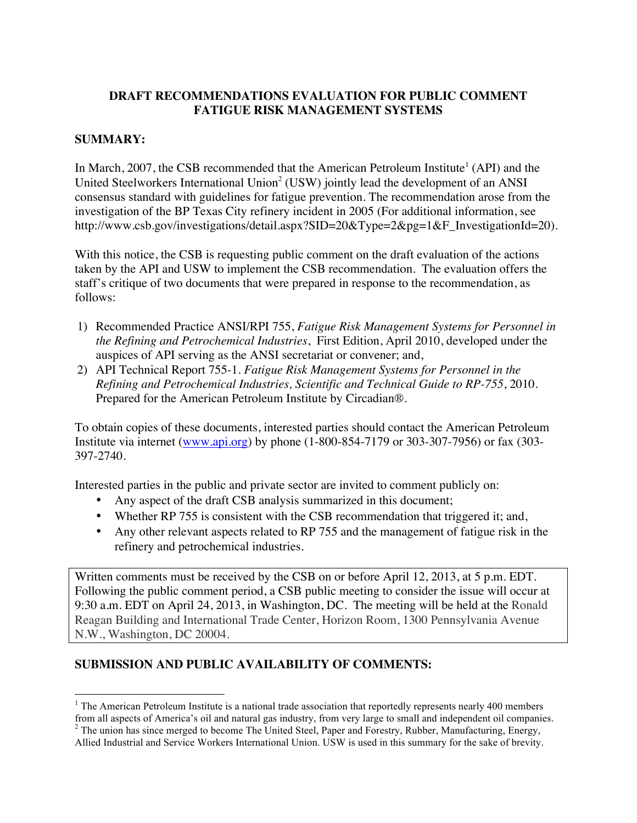## **DRAFT RECOMMENDATIONS EVALUATION FOR PUBLIC COMMENT FATIGUE RISK MANAGEMENT SYSTEMS**

## **SUMMARY:**

In March, 2007, the CSB recommended that the American Petroleum Institute<sup>1</sup> (API) and the United Steelworkers International Union<sup>2</sup> (USW) jointly lead the development of an ANSI consensus standard with guidelines for fatigue prevention. The recommendation arose from the investigation of the BP Texas City refinery incident in 2005 (For additional information, see http://www.csb.gov/investigations/detail.aspx?SID=20&Type=2&pg=1&F\_InvestigationId=20).

With this notice, the CSB is requesting public comment on the draft evaluation of the actions taken by the API and USW to implement the CSB recommendation. The evaluation offers the staff's critique of two documents that were prepared in response to the recommendation, as follows:

- 1) Recommended Practice ANSI/RPI 755, *Fatigue Risk Management Systems for Personnel in the Refining and Petrochemical Industries*, First Edition, April 2010, developed under the auspices of API serving as the ANSI secretariat or convener; and,
- 2) API Technical Report 755-1. *Fatigue Risk Management Systems for Personnel in the Refining and Petrochemical Industries, Scientific and Technical Guide to RP-755*, 2010. Prepared for the American Petroleum Institute by Circadian®.

To obtain copies of these documents, interested parties should contact the American Petroleum Institute via internet (www.api.org) by phone (1-800-854-7179 or 303-307-7956) or fax (303- 397-2740.

Interested parties in the public and private sector are invited to comment publicly on:

- Any aspect of the draft CSB analysis summarized in this document;
- Whether RP 755 is consistent with the CSB recommendation that triggered it; and,
- Any other relevant aspects related to RP 755 and the management of fatigue risk in the refinery and petrochemical industries.

Written comments must be received by the CSB on or before April 12, 2013, at 5 p.m. EDT. Following the public comment period, a CSB public meeting to consider the issue will occur at 9:30 a.m. EDT on April 24, 2013, in Washington, DC. The meeting will be held at the Ronald Reagan Building and International Trade Center, Horizon Room, 1300 Pennsylvania Avenue N.W., Washington, DC 20004.

# **SUBMISSION AND PUBLIC AVAILABILITY OF COMMENTS:**

<sup>&</sup>lt;sup>1</sup> The American Petroleum Institute is a national trade association that reportedly represents nearly 400 members from all aspects of America's oil and natural gas industry, from very large to small and independent oil companies. <sup>2</sup> The union has since merged to become The United Steel, Paper and Forestry, Rubber, Manufacturing, Energy,

Allied Industrial and Service Workers International Union. USW is used in this summary for the sake of brevity.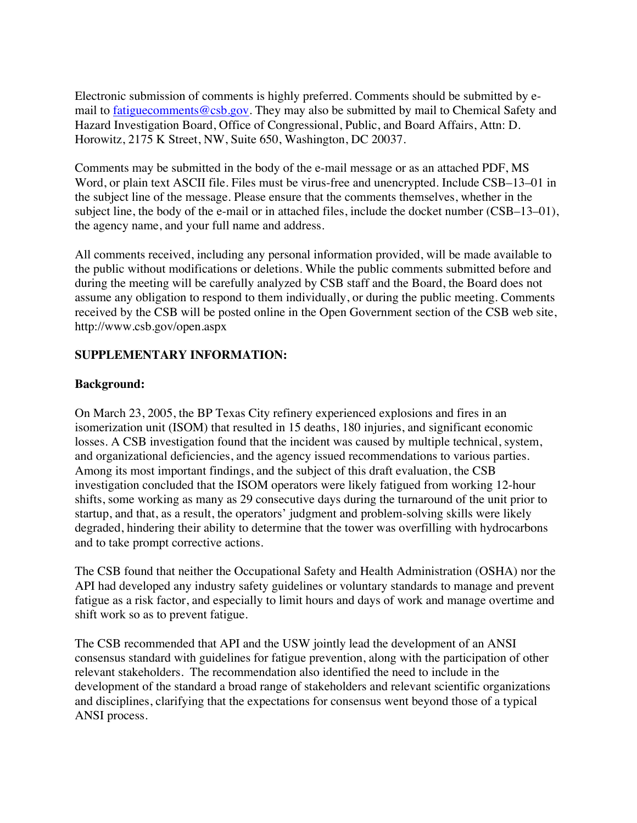Electronic submission of comments is highly preferred. Comments should be submitted by email to fatiguecomments@csb.gov. They may also be submitted by mail to Chemical Safety and Hazard Investigation Board, Office of Congressional, Public, and Board Affairs, Attn: D. Horowitz, 2175 K Street, NW, Suite 650, Washington, DC 20037.

Comments may be submitted in the body of the e-mail message or as an attached PDF, MS Word, or plain text ASCII file. Files must be virus-free and unencrypted. Include CSB–13–01 in the subject line of the message. Please ensure that the comments themselves, whether in the subject line, the body of the e-mail or in attached files, include the docket number (CSB–13–01), the agency name, and your full name and address.

All comments received, including any personal information provided, will be made available to the public without modifications or deletions. While the public comments submitted before and during the meeting will be carefully analyzed by CSB staff and the Board, the Board does not assume any obligation to respond to them individually, or during the public meeting. Comments received by the CSB will be posted online in the Open Government section of the CSB web site, http://www.csb.gov/open.aspx

## **SUPPLEMENTARY INFORMATION:**

## **Background:**

On March 23, 2005, the BP Texas City refinery experienced explosions and fires in an isomerization unit (ISOM) that resulted in 15 deaths, 180 injuries, and significant economic losses. A CSB investigation found that the incident was caused by multiple technical, system, and organizational deficiencies, and the agency issued recommendations to various parties. Among its most important findings, and the subject of this draft evaluation, the CSB investigation concluded that the ISOM operators were likely fatigued from working 12-hour shifts, some working as many as 29 consecutive days during the turnaround of the unit prior to startup, and that, as a result, the operators' judgment and problem-solving skills were likely degraded, hindering their ability to determine that the tower was overfilling with hydrocarbons and to take prompt corrective actions.

The CSB found that neither the Occupational Safety and Health Administration (OSHA) nor the API had developed any industry safety guidelines or voluntary standards to manage and prevent fatigue as a risk factor, and especially to limit hours and days of work and manage overtime and shift work so as to prevent fatigue.

The CSB recommended that API and the USW jointly lead the development of an ANSI consensus standard with guidelines for fatigue prevention, along with the participation of other relevant stakeholders. The recommendation also identified the need to include in the development of the standard a broad range of stakeholders and relevant scientific organizations and disciplines, clarifying that the expectations for consensus went beyond those of a typical ANSI process.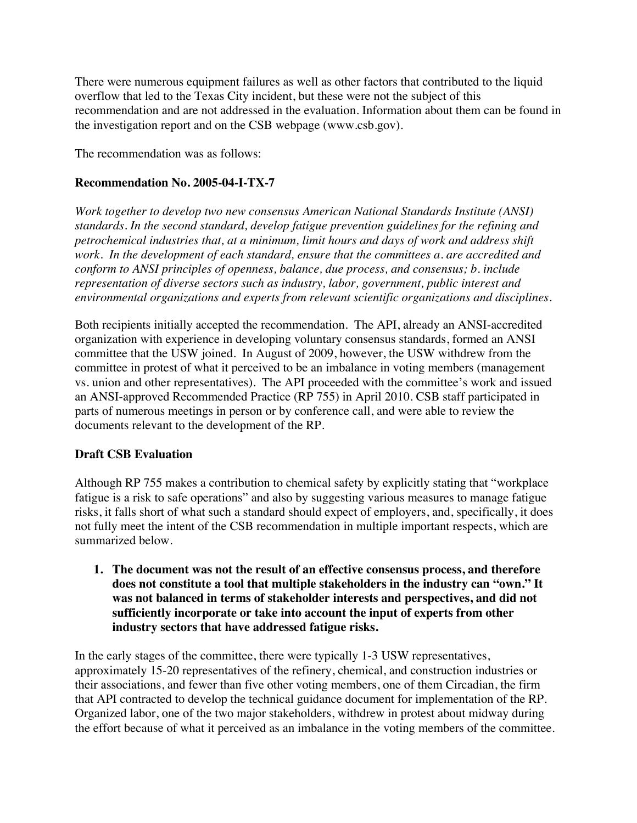There were numerous equipment failures as well as other factors that contributed to the liquid overflow that led to the Texas City incident, but these were not the subject of this recommendation and are not addressed in the evaluation. Information about them can be found in the investigation report and on the CSB webpage (www.csb.gov).

The recommendation was as follows:

## **Recommendation No. 2005-04-I-TX-7**

*Work together to develop two new consensus American National Standards Institute (ANSI) standards. In the second standard, develop fatigue prevention guidelines for the refining and petrochemical industries that, at a minimum, limit hours and days of work and address shift work. In the development of each standard, ensure that the committees a. are accredited and conform to ANSI principles of openness, balance, due process, and consensus; b. include representation of diverse sectors such as industry, labor, government, public interest and environmental organizations and experts from relevant scientific organizations and disciplines.* 

Both recipients initially accepted the recommendation. The API, already an ANSI-accredited organization with experience in developing voluntary consensus standards, formed an ANSI committee that the USW joined. In August of 2009, however, the USW withdrew from the committee in protest of what it perceived to be an imbalance in voting members (management vs. union and other representatives). The API proceeded with the committee's work and issued an ANSI-approved Recommended Practice (RP 755) in April 2010. CSB staff participated in parts of numerous meetings in person or by conference call, and were able to review the documents relevant to the development of the RP.

## **Draft CSB Evaluation**

Although RP 755 makes a contribution to chemical safety by explicitly stating that "workplace fatigue is a risk to safe operations" and also by suggesting various measures to manage fatigue risks, it falls short of what such a standard should expect of employers, and, specifically, it does not fully meet the intent of the CSB recommendation in multiple important respects, which are summarized below.

**1. The document was not the result of an effective consensus process, and therefore does not constitute a tool that multiple stakeholders in the industry can "own." It was not balanced in terms of stakeholder interests and perspectives, and did not sufficiently incorporate or take into account the input of experts from other industry sectors that have addressed fatigue risks.**

In the early stages of the committee, there were typically 1-3 USW representatives, approximately 15-20 representatives of the refinery, chemical, and construction industries or their associations, and fewer than five other voting members, one of them Circadian, the firm that API contracted to develop the technical guidance document for implementation of the RP. Organized labor, one of the two major stakeholders, withdrew in protest about midway during the effort because of what it perceived as an imbalance in the voting members of the committee.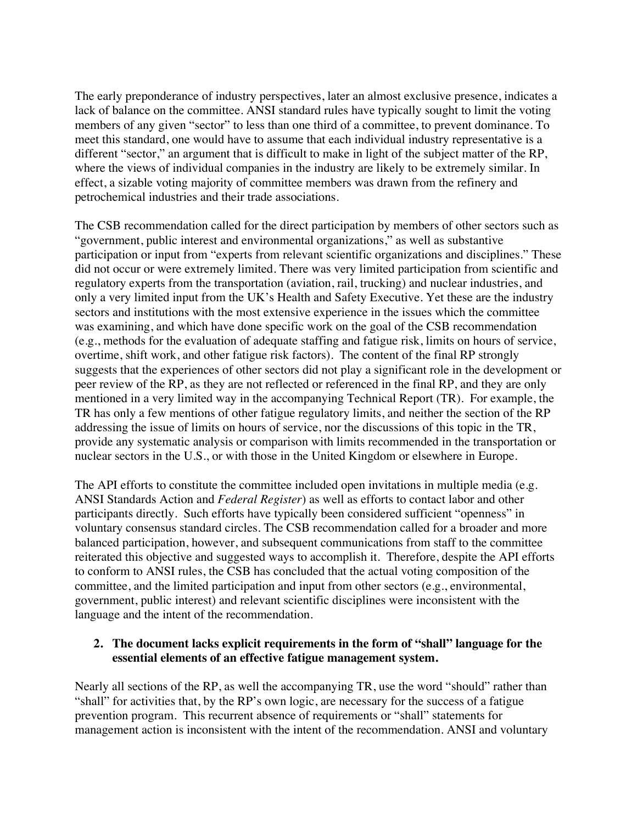The early preponderance of industry perspectives, later an almost exclusive presence, indicates a lack of balance on the committee. ANSI standard rules have typically sought to limit the voting members of any given "sector" to less than one third of a committee, to prevent dominance. To meet this standard, one would have to assume that each individual industry representative is a different "sector," an argument that is difficult to make in light of the subject matter of the RP, where the views of individual companies in the industry are likely to be extremely similar. In effect, a sizable voting majority of committee members was drawn from the refinery and petrochemical industries and their trade associations.

The CSB recommendation called for the direct participation by members of other sectors such as "government, public interest and environmental organizations," as well as substantive participation or input from "experts from relevant scientific organizations and disciplines." These did not occur or were extremely limited. There was very limited participation from scientific and regulatory experts from the transportation (aviation, rail, trucking) and nuclear industries, and only a very limited input from the UK's Health and Safety Executive. Yet these are the industry sectors and institutions with the most extensive experience in the issues which the committee was examining, and which have done specific work on the goal of the CSB recommendation (e.g., methods for the evaluation of adequate staffing and fatigue risk, limits on hours of service, overtime, shift work, and other fatigue risk factors). The content of the final RP strongly suggests that the experiences of other sectors did not play a significant role in the development or peer review of the RP, as they are not reflected or referenced in the final RP, and they are only mentioned in a very limited way in the accompanying Technical Report (TR). For example, the TR has only a few mentions of other fatigue regulatory limits, and neither the section of the RP addressing the issue of limits on hours of service, nor the discussions of this topic in the TR, provide any systematic analysis or comparison with limits recommended in the transportation or nuclear sectors in the U.S., or with those in the United Kingdom or elsewhere in Europe.

The API efforts to constitute the committee included open invitations in multiple media (e.g. ANSI Standards Action and *Federal Register*) as well as efforts to contact labor and other participants directly. Such efforts have typically been considered sufficient "openness" in voluntary consensus standard circles. The CSB recommendation called for a broader and more balanced participation, however, and subsequent communications from staff to the committee reiterated this objective and suggested ways to accomplish it. Therefore, despite the API efforts to conform to ANSI rules, the CSB has concluded that the actual voting composition of the committee, and the limited participation and input from other sectors (e.g., environmental, government, public interest) and relevant scientific disciplines were inconsistent with the language and the intent of the recommendation.

#### **2. The document lacks explicit requirements in the form of "shall" language for the essential elements of an effective fatigue management system.**

Nearly all sections of the RP, as well the accompanying TR, use the word "should" rather than "shall" for activities that, by the RP's own logic, are necessary for the success of a fatigue prevention program. This recurrent absence of requirements or "shall" statements for management action is inconsistent with the intent of the recommendation. ANSI and voluntary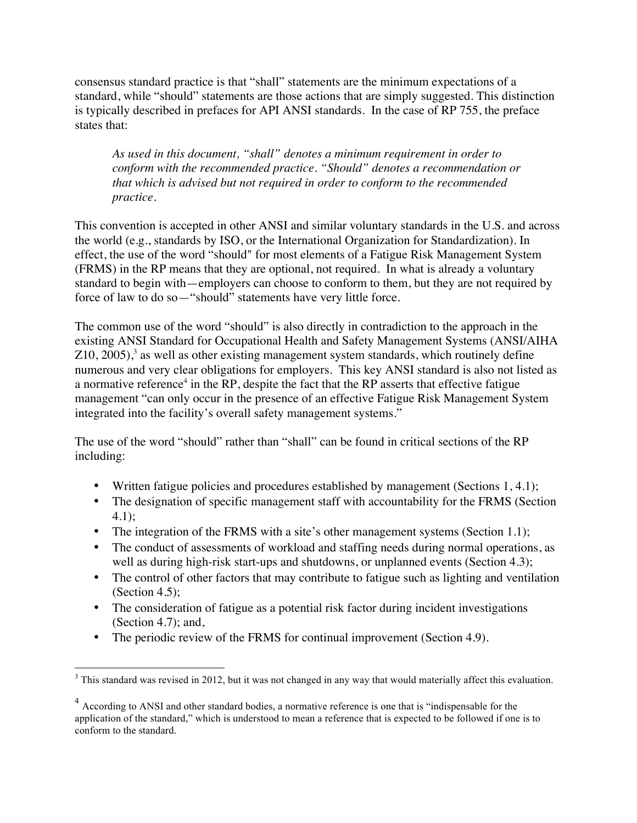consensus standard practice is that "shall" statements are the minimum expectations of a standard, while "should" statements are those actions that are simply suggested. This distinction is typically described in prefaces for API ANSI standards. In the case of RP 755, the preface states that:

*As used in this document, "shall" denotes a minimum requirement in order to conform with the recommended practice. "Should" denotes a recommendation or that which is advised but not required in order to conform to the recommended practice.*

This convention is accepted in other ANSI and similar voluntary standards in the U.S. and across the world (e.g., standards by ISO, or the International Organization for Standardization). In effect, the use of the word "should" for most elements of a Fatigue Risk Management System (FRMS) in the RP means that they are optional, not required. In what is already a voluntary standard to begin with—employers can choose to conform to them, but they are not required by force of law to do so—"should" statements have very little force.

The common use of the word "should" is also directly in contradiction to the approach in the existing ANSI Standard for Occupational Health and Safety Management Systems (ANSI/AIHA  $Z10$ ,  $2005$ ),<sup>3</sup> as well as other existing management system standards, which routinely define numerous and very clear obligations for employers. This key ANSI standard is also not listed as a normative reference<sup>4</sup> in the RP, despite the fact that the RP asserts that effective fatigue management "can only occur in the presence of an effective Fatigue Risk Management System integrated into the facility's overall safety management systems."

The use of the word "should" rather than "shall" can be found in critical sections of the RP including:

- Written fatigue policies and procedures established by management (Sections 1, 4.1);
- The designation of specific management staff with accountability for the FRMS (Section 4.1);
- The integration of the FRMS with a site's other management systems (Section 1.1);
- The conduct of assessments of workload and staffing needs during normal operations, as well as during high-risk start-ups and shutdowns, or unplanned events (Section 4.3);
- The control of other factors that may contribute to fatigue such as lighting and ventilation (Section 4.5);
- The consideration of fatigue as a potential risk factor during incident investigations (Section 4.7); and,
- The periodic review of the FRMS for continual improvement (Section 4.9).

<sup>&</sup>lt;sup>3</sup> This standard was revised in 2012, but it was not changed in any way that would materially affect this evaluation.

<sup>&</sup>lt;sup>4</sup> According to ANSI and other standard bodies, a normative reference is one that is "indispensable for the application of the standard," which is understood to mean a reference that is expected to be followed if one is to conform to the standard.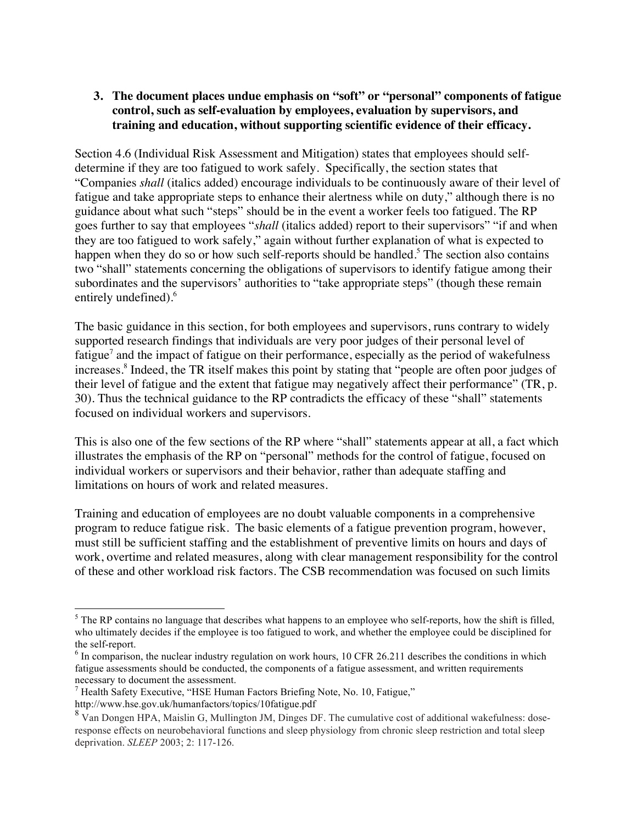### **3. The document places undue emphasis on "soft" or "personal" components of fatigue control, such as self-evaluation by employees, evaluation by supervisors, and training and education, without supporting scientific evidence of their efficacy.**

Section 4.6 (Individual Risk Assessment and Mitigation) states that employees should selfdetermine if they are too fatigued to work safely. Specifically, the section states that "Companies *shall* (italics added) encourage individuals to be continuously aware of their level of fatigue and take appropriate steps to enhance their alertness while on duty," although there is no guidance about what such "steps" should be in the event a worker feels too fatigued. The RP goes further to say that employees "*shall* (italics added) report to their supervisors" "if and when they are too fatigued to work safely," again without further explanation of what is expected to happen when they do so or how such self-reports should be handled.<sup>5</sup> The section also contains two "shall" statements concerning the obligations of supervisors to identify fatigue among their subordinates and the supervisors' authorities to "take appropriate steps" (though these remain entirely undefined).<sup>6</sup>

The basic guidance in this section, for both employees and supervisors, runs contrary to widely supported research findings that individuals are very poor judges of their personal level of fatigue<sup>7</sup> and the impact of fatigue on their performance, especially as the period of wakefulness increases.<sup>8</sup> Indeed, the TR itself makes this point by stating that "people are often poor judges of their level of fatigue and the extent that fatigue may negatively affect their performance" (TR, p. 30). Thus the technical guidance to the RP contradicts the efficacy of these "shall" statements focused on individual workers and supervisors.

This is also one of the few sections of the RP where "shall" statements appear at all, a fact which illustrates the emphasis of the RP on "personal" methods for the control of fatigue, focused on individual workers or supervisors and their behavior, rather than adequate staffing and limitations on hours of work and related measures.

Training and education of employees are no doubt valuable components in a comprehensive program to reduce fatigue risk. The basic elements of a fatigue prevention program, however, must still be sufficient staffing and the establishment of preventive limits on hours and days of work, overtime and related measures, along with clear management responsibility for the control of these and other workload risk factors. The CSB recommendation was focused on such limits

 $<sup>5</sup>$  The RP contains no language that describes what happens to an employee who self-reports, how the shift is filled,</sup> who ultimately decides if the employee is too fatigued to work, and whether the employee could be disciplined for the self-report.<br><sup>6</sup> In comparison, the nuclear industry regulation on work hours, 10 CFR 26.211 describes the conditions in which

fatigue assessments should be conducted, the components of a fatigue assessment, and written requirements necessary to document the assessment.

<sup>7</sup> Health Safety Executive, "HSE Human Factors Briefing Note, No. 10, Fatigue,"

http://www.hse.gov.uk/humanfactors/topics/10fatigue.pdf

<sup>&</sup>lt;sup>8</sup> Van Dongen HPA, Maislin G, Mullington JM, Dinges DF. The cumulative cost of additional wakefulness: doseresponse effects on neurobehavioral functions and sleep physiology from chronic sleep restriction and total sleep deprivation. *SLEEP* 2003; 2: 117-126.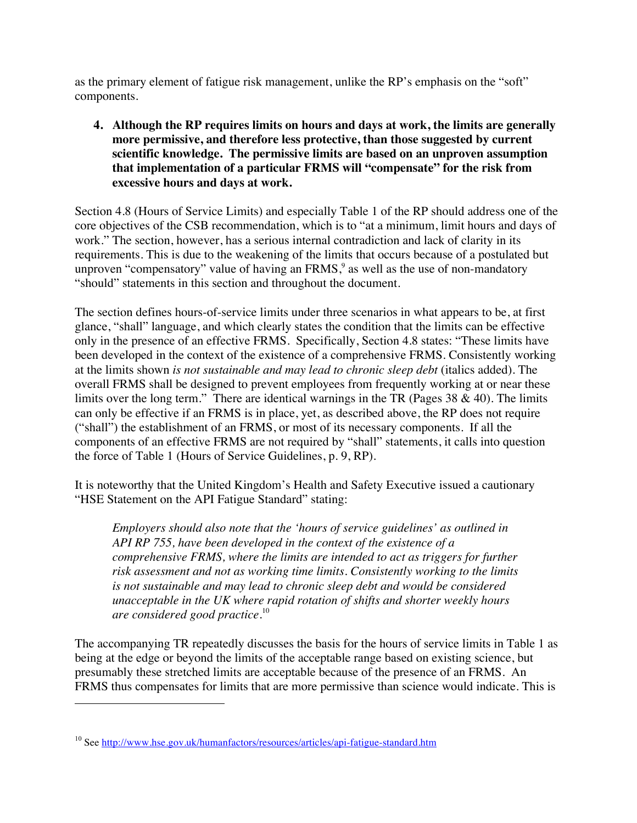as the primary element of fatigue risk management, unlike the RP's emphasis on the "soft" components.

**4. Although the RP requires limits on hours and days at work, the limits are generally more permissive, and therefore less protective, than those suggested by current scientific knowledge. The permissive limits are based on an unproven assumption that implementation of a particular FRMS will "compensate" for the risk from excessive hours and days at work.**

Section 4.8 (Hours of Service Limits) and especially Table 1 of the RP should address one of the core objectives of the CSB recommendation, which is to "at a minimum, limit hours and days of work." The section, however, has a serious internal contradiction and lack of clarity in its requirements. This is due to the weakening of the limits that occurs because of a postulated but unproven "compensatory" value of having an  $FRMS$ , as well as the use of non-mandatory "should" statements in this section and throughout the document.

The section defines hours-of-service limits under three scenarios in what appears to be, at first glance, "shall" language, and which clearly states the condition that the limits can be effective only in the presence of an effective FRMS*.* Specifically, Section 4.8 states: "These limits have been developed in the context of the existence of a comprehensive FRMS. Consistently working at the limits shown *is not sustainable and may lead to chronic sleep debt* (italics added). The overall FRMS shall be designed to prevent employees from frequently working at or near these limits over the long term." There are identical warnings in the TR (Pages  $38 \& 40$ ). The limits can only be effective if an FRMS is in place, yet, as described above, the RP does not require ("shall") the establishment of an FRMS, or most of its necessary components. If all the components of an effective FRMS are not required by "shall" statements, it calls into question the force of Table 1 (Hours of Service Guidelines, p. 9, RP).

It is noteworthy that the United Kingdom's Health and Safety Executive issued a cautionary "HSE Statement on the API Fatigue Standard" stating:

*Employers should also note that the 'hours of service guidelines' as outlined in API RP 755, have been developed in the context of the existence of a comprehensive FRMS, where the limits are intended to act as triggers for further risk assessment and not as working time limits. Consistently working to the limits is not sustainable and may lead to chronic sleep debt and would be considered unacceptable in the UK where rapid rotation of shifts and shorter weekly hours are considered good practice.*<sup>10</sup>

The accompanying TR repeatedly discusses the basis for the hours of service limits in Table 1 as being at the edge or beyond the limits of the acceptable range based on existing science, but presumably these stretched limits are acceptable because of the presence of an FRMS. An FRMS thus compensates for limits that are more permissive than science would indicate. This is

 $\overline{a}$ 

<sup>&</sup>lt;sup>10</sup> See http://www.hse.gov.uk/humanfactors/resources/articles/api-fatigue-standard.htm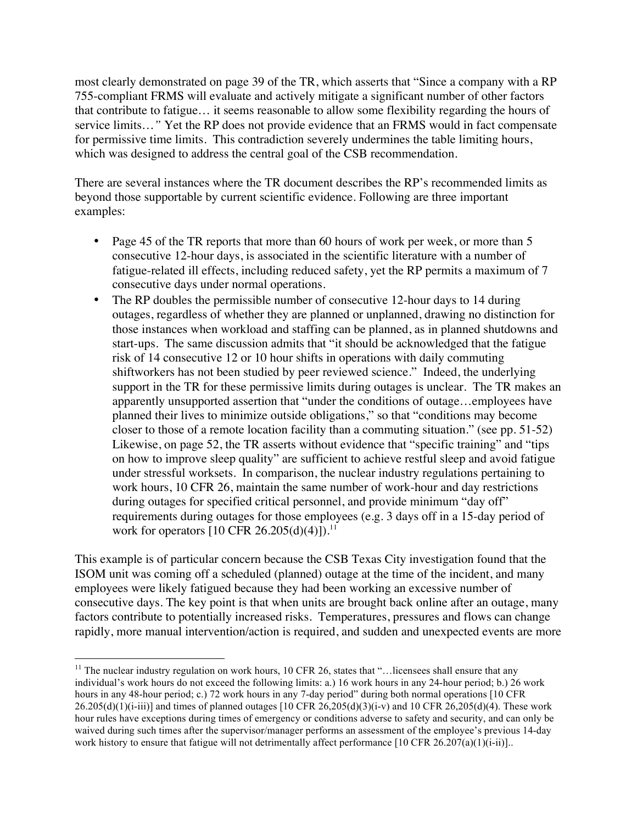most clearly demonstrated on page 39 of the TR, which asserts that "Since a company with a RP 755-compliant FRMS will evaluate and actively mitigate a significant number of other factors that contribute to fatigue… it seems reasonable to allow some flexibility regarding the hours of service limits…*"* Yet the RP does not provide evidence that an FRMS would in fact compensate for permissive time limits. This contradiction severely undermines the table limiting hours, which was designed to address the central goal of the CSB recommendation.

There are several instances where the TR document describes the RP's recommended limits as beyond those supportable by current scientific evidence. Following are three important examples:

- Page 45 of the TR reports that more than 60 hours of work per week, or more than 5 consecutive 12-hour days, is associated in the scientific literature with a number of fatigue-related ill effects, including reduced safety, yet the RP permits a maximum of 7 consecutive days under normal operations.
- The RP doubles the permissible number of consecutive 12-hour days to 14 during outages, regardless of whether they are planned or unplanned, drawing no distinction for those instances when workload and staffing can be planned, as in planned shutdowns and start-ups. The same discussion admits that "it should be acknowledged that the fatigue risk of 14 consecutive 12 or 10 hour shifts in operations with daily commuting shiftworkers has not been studied by peer reviewed science." Indeed, the underlying support in the TR for these permissive limits during outages is unclear. The TR makes an apparently unsupported assertion that "under the conditions of outage…employees have planned their lives to minimize outside obligations," so that "conditions may become closer to those of a remote location facility than a commuting situation." (see pp. 51-52) Likewise, on page 52, the TR asserts without evidence that "specific training" and "tips on how to improve sleep quality" are sufficient to achieve restful sleep and avoid fatigue under stressful worksets. In comparison, the nuclear industry regulations pertaining to work hours, 10 CFR 26, maintain the same number of work-hour and day restrictions during outages for specified critical personnel, and provide minimum "day off" requirements during outages for those employees (e.g. 3 days off in a 15-day period of work for operators  $[10 \text{ CFR } 26.205(d)(4)]$ .<sup>11</sup>

This example is of particular concern because the CSB Texas City investigation found that the ISOM unit was coming off a scheduled (planned) outage at the time of the incident, and many employees were likely fatigued because they had been working an excessive number of consecutive days. The key point is that when units are brought back online after an outage, many factors contribute to potentially increased risks. Temperatures, pressures and flows can change rapidly, more manual intervention/action is required, and sudden and unexpected events are more

 $11$  The nuclear industry regulation on work hours, 10 CFR 26, states that "... licensees shall ensure that any individual's work hours do not exceed the following limits: a.) 16 work hours in any 24-hour period; b.) 26 work hours in any 48-hour period; c.) 72 work hours in any 7-day period" during both normal operations [10 CFR  $26.205(d)(1)(i-iii)$ ] and times of planned outages  $[10 \text{ CFR } 26,205(d)(3)(i-v)$  and 10 CFR  $26,205(d)(4)$ . These work hour rules have exceptions during times of emergency or conditions adverse to safety and security, and can only be waived during such times after the supervisor/manager performs an assessment of the employee's previous 14-day work history to ensure that fatigue will not detrimentally affect performance  $[10 \text{ CFR } 26.207(a)(1)(i-ii)].$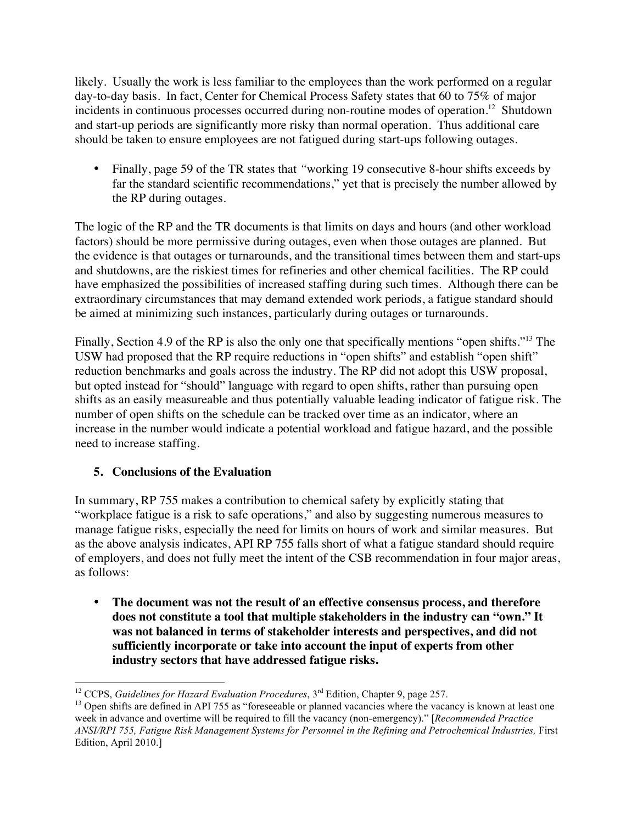likely. Usually the work is less familiar to the employees than the work performed on a regular day-to-day basis. In fact, Center for Chemical Process Safety states that 60 to 75% of major incidents in continuous processes occurred during non-routine modes of operation. <sup>12</sup> Shutdown and start-up periods are significantly more risky than normal operation. Thus additional care should be taken to ensure employees are not fatigued during start-ups following outages.

• Finally, page 59 of the TR states that *"working 19* consecutive 8-hour shifts exceeds by far the standard scientific recommendations," yet that is precisely the number allowed by the RP during outages.

The logic of the RP and the TR documents is that limits on days and hours (and other workload factors) should be more permissive during outages, even when those outages are planned. But the evidence is that outages or turnarounds, and the transitional times between them and start-ups and shutdowns, are the riskiest times for refineries and other chemical facilities. The RP could have emphasized the possibilities of increased staffing during such times. Although there can be extraordinary circumstances that may demand extended work periods, a fatigue standard should be aimed at minimizing such instances, particularly during outages or turnarounds.

Finally, Section 4.9 of the RP is also the only one that specifically mentions "open shifts."<sup>13</sup> The USW had proposed that the RP require reductions in "open shifts" and establish "open shift" reduction benchmarks and goals across the industry. The RP did not adopt this USW proposal, but opted instead for "should" language with regard to open shifts, rather than pursuing open shifts as an easily measureable and thus potentially valuable leading indicator of fatigue risk. The number of open shifts on the schedule can be tracked over time as an indicator, where an increase in the number would indicate a potential workload and fatigue hazard, and the possible need to increase staffing.

# **5. Conclusions of the Evaluation**

In summary, RP 755 makes a contribution to chemical safety by explicitly stating that "workplace fatigue is a risk to safe operations," and also by suggesting numerous measures to manage fatigue risks, especially the need for limits on hours of work and similar measures. But as the above analysis indicates, API RP 755 falls short of what a fatigue standard should require of employers, and does not fully meet the intent of the CSB recommendation in four major areas, as follows:

• **The document was not the result of an effective consensus process, and therefore does not constitute a tool that multiple stakeholders in the industry can "own." It was not balanced in terms of stakeholder interests and perspectives, and did not sufficiently incorporate or take into account the input of experts from other industry sectors that have addressed fatigue risks.**

<sup>&</sup>lt;sup>12</sup> CCPS, *Guidelines for Hazard Evaluation Procedures*,  $3<sup>rd</sup>$  Edition, Chapter 9, page 257.<br><sup>13</sup> Open shifts are defined in API 755 as "foreseeable or planned vacancies where the vacancy is known at least one week in advance and overtime will be required to fill the vacancy (non-emergency)." [*Recommended Practice ANSI/RPI 755, Fatigue Risk Management Systems for Personnel in the Refining and Petrochemical Industries,* First Edition, April 2010.]